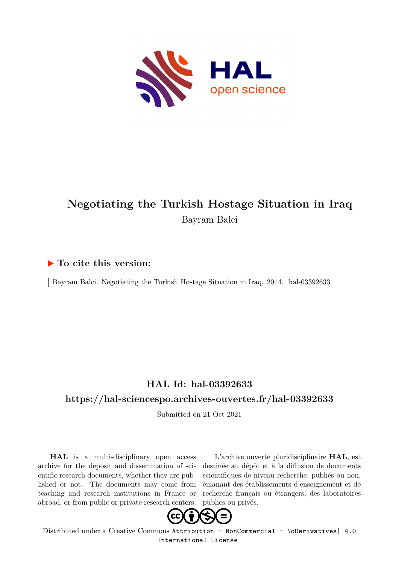

## **Negotiating the Turkish Hostage Situation in Iraq** Bayram Balci

### **To cite this version:**

Bayram Balci. Negotiating the Turkish Hostage Situation in Iraq. 2014. hal-03392633

### **HAL Id: hal-03392633**

#### **<https://hal-sciencespo.archives-ouvertes.fr/hal-03392633>**

Submitted on 21 Oct 2021

**HAL** is a multi-disciplinary open access archive for the deposit and dissemination of scientific research documents, whether they are published or not. The documents may come from teaching and research institutions in France or abroad, or from public or private research centers.

L'archive ouverte pluridisciplinaire **HAL**, est destinée au dépôt et à la diffusion de documents scientifiques de niveau recherche, publiés ou non, émanant des établissements d'enseignement et de recherche français ou étrangers, des laboratoires publics ou privés.



Distributed under a Creative Commons [Attribution - NonCommercial - NoDerivatives| 4.0](http://creativecommons.org/licenses/by-nc-nd/4.0/) [International License](http://creativecommons.org/licenses/by-nc-nd/4.0/)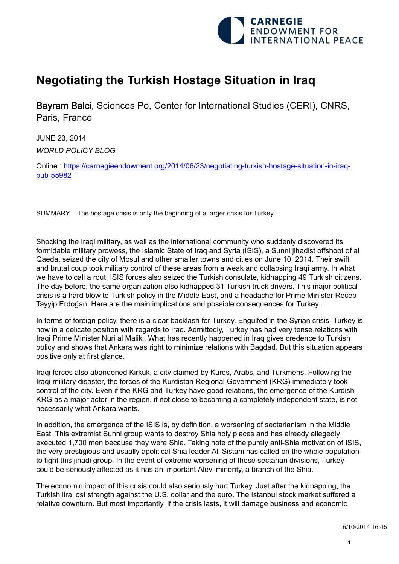

# **Negotiating the Turkish Hostage Situation in Iraq**

Bayram Balci, Sciences Po, Center for International Studies (CERI), CNRS, Paris, France

JUNE 23, 2014 *WORLD POLICY BLOG*

Online : https://carnegieendowment.org/2014/06/23/negotiating-turkish-hostage-situation-in-iraqpub-55982

SUMMARY The hostage crisis is only the beginning of a larger crisis for Turkey.

Shocking the Iraqi military, as well as the international community who suddenly discovered its formidable military prowess, the Islamic State of Iraq and Syria (ISIS), a Sunni jihadist offshoot of al Qaeda, seized the city of Mosul and other smaller towns and cities on June 10, 2014. Their swift and brutal coup took military control of these areas from a weak and collapsing Iraqi army. In what we have to call a rout, ISIS forces also seized the Turkish consulate, kidnapping 49 Turkish citizens. The day before, the same organization also kidnapped 31 Turkish truck drivers. This major political crisis is a hard blow to Turkish policy in the Middle East, and a headache for Prime Minister Recep Tayyip Erdoğan. Here are the main implications and possible consequences for Turkey.

In terms of foreign policy, there is a clear backlash for Turkey. Engulfed in the Syrian crisis, Turkey is now in a delicate position with regards to Iraq. Admittedly, Turkey has had very tense relations with Iraqi Prime Minister Nuri al Maliki. What has recently happened in Iraq gives credence to Turkish policy and shows that Ankara was right to minimize relations with Bagdad. But this situation appears positive only at first glance.

Iraqi forces also abandoned Kirkuk, a city claimed by Kurds, Arabs, and Turkmens. Following the Iraqi military disaster, the forces of the Kurdistan Regional Government (KRG) immediately took control of the city. Even if the KRG and Turkey have good relations, the emergence of the Kurdish KRG as a major actor in the region, if not close to becoming a completely independent state, is not necessarily what Ankara wants.

In addition, the emergence of the ISIS is, by definition, a worsening of sectarianism in the Middle East. This extremist Sunni group wants to destroy Shia holy places and has already allegedly executed 1,700 men because they were Shia. Taking note of the purely anti-Shia motivation of ISIS, the very prestigious and usually apolitical Shia leader Ali Sistani has called on the whole population to fight this jihadi group. In the event of extreme worsening of these sectarian divisions, Turkey could be seriously affected as it has an important Alevi minority, a branch of the Shia.

The economic impact of this crisis could also seriously hurt Turkey. Just after the kidnapping, the Turkish lira lost strength against the U.S. dollar and the euro. The Istanbul stock market suffered a relative downturn. But most importantly, if the crisis lasts, it will damage business and economic